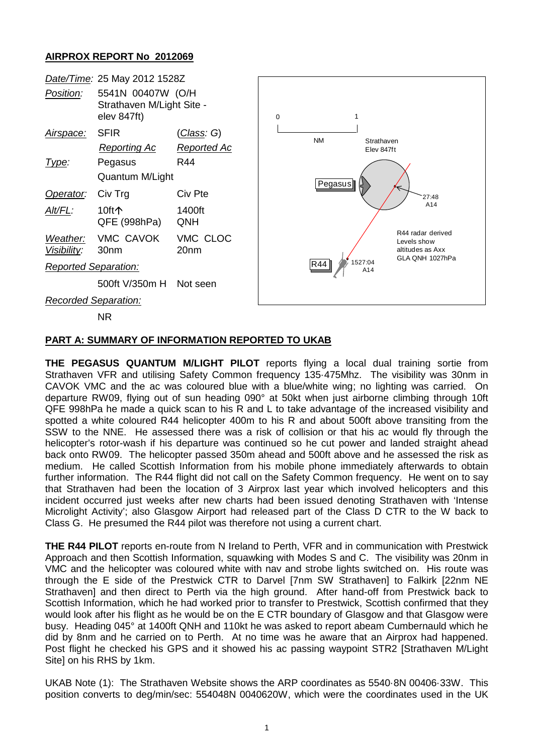## **AIRPROX REPORT No 2012069**



## **PART A: SUMMARY OF INFORMATION REPORTED TO UKAB**

**THE PEGASUS QUANTUM M/LIGHT PILOT** reports flying a local dual training sortie from Strathaven VFR and utilising Safety Common frequency 135·475Mhz. The visibility was 30nm in CAVOK VMC and the ac was coloured blue with a blue/white wing; no lighting was carried. On departure RW09, flying out of sun heading 090° at 50kt when just airborne climbing through 10ft QFE 998hPa he made a quick scan to his R and L to take advantage of the increased visibility and spotted a white coloured R44 helicopter 400m to his R and about 500ft above transiting from the SSW to the NNE. He assessed there was a risk of collision or that his ac would fly through the helicopter's rotor-wash if his departure was continued so he cut power and landed straight ahead back onto RW09. The helicopter passed 350m ahead and 500ft above and he assessed the risk as medium. He called Scottish Information from his mobile phone immediately afterwards to obtain further information. The R44 flight did not call on the Safety Common frequency. He went on to say that Strathaven had been the location of 3 Airprox last year which involved helicopters and this incident occurred just weeks after new charts had been issued denoting Strathaven with 'Intense Microlight Activity'; also Glasgow Airport had released part of the Class D CTR to the W back to Class G. He presumed the R44 pilot was therefore not using a current chart.

**THE R44 PILOT** reports en-route from N Ireland to Perth, VFR and in communication with Prestwick Approach and then Scottish Information, squawking with Modes S and C. The visibility was 20nm in VMC and the helicopter was coloured white with nav and strobe lights switched on. His route was through the E side of the Prestwick CTR to Darvel [7nm SW Strathaven] to Falkirk [22nm NE Strathaven] and then direct to Perth via the high ground. After hand-off from Prestwick back to Scottish Information, which he had worked prior to transfer to Prestwick, Scottish confirmed that they would look after his flight as he would be on the E CTR boundary of Glasgow and that Glasgow were busy. Heading 045° at 1400ft QNH and 110kt he was asked to report abeam Cumbernauld which he did by 8nm and he carried on to Perth. At no time was he aware that an Airprox had happened. Post flight he checked his GPS and it showed his ac passing waypoint STR2 [Strathaven M/Light Site] on his RHS by 1km.

UKAB Note (1): The Strathaven Website shows the ARP coordinates as 5540·8N 00406·33W. This position converts to deg/min/sec: 554048N 0040620W, which were the coordinates used in the UK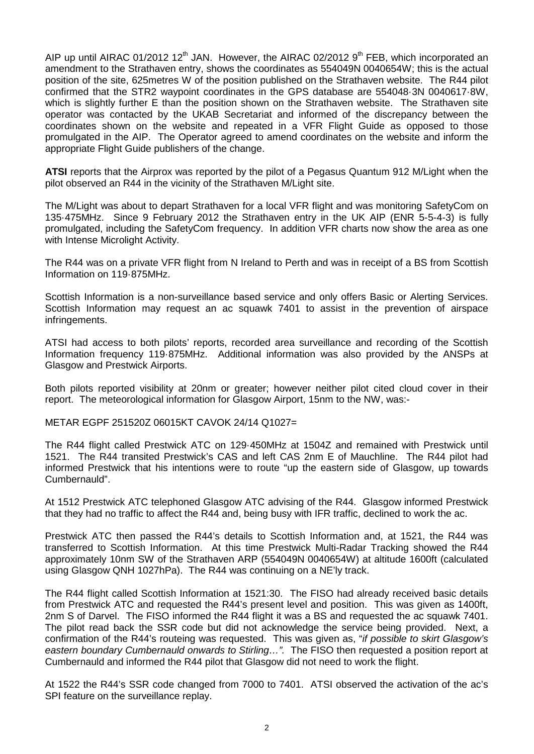AIP up until AIRAC 01/2012 12<sup>th</sup> JAN. However, the AIRAC 02/2012  $9<sup>th</sup>$  FEB, which incorporated an amendment to the Strathaven entry, shows the coordinates as 554049N 0040654W; this is the actual position of the site, 625metres W of the position published on the Strathaven website. The R44 pilot confirmed that the STR2 waypoint coordinates in the GPS database are 554048·3N 0040617·8W, which is slightly further E than the position shown on the Strathaven website. The Strathaven site operator was contacted by the UKAB Secretariat and informed of the discrepancy between the coordinates shown on the website and repeated in a VFR Flight Guide as opposed to those promulgated in the AIP. The Operator agreed to amend coordinates on the website and inform the appropriate Flight Guide publishers of the change.

**ATSI** reports that the Airprox was reported by the pilot of a Pegasus Quantum 912 M/Light when the pilot observed an R44 in the vicinity of the Strathaven M/Light site.

The M/Light was about to depart Strathaven for a local VFR flight and was monitoring SafetyCom on 135·475MHz. Since 9 February 2012 the Strathaven entry in the UK AIP (ENR 5-5-4-3) is fully promulgated, including the SafetyCom frequency. In addition VFR charts now show the area as one with Intense Microlight Activity.

The R44 was on a private VFR flight from N Ireland to Perth and was in receipt of a BS from Scottish Information on 119·875MHz.

Scottish Information is a non-surveillance based service and only offers Basic or Alerting Services. Scottish Information may request an ac squawk 7401 to assist in the prevention of airspace infringements.

ATSI had access to both pilots' reports, recorded area surveillance and recording of the Scottish Information frequency 119·875MHz. Additional information was also provided by the ANSPs at Glasgow and Prestwick Airports.

Both pilots reported visibility at 20nm or greater; however neither pilot cited cloud cover in their report. The meteorological information for Glasgow Airport, 15nm to the NW, was:-

METAR EGPF 251520Z 06015KT CAVOK 24/14 Q1027=

The R44 flight called Prestwick ATC on 129·450MHz at 1504Z and remained with Prestwick until 1521. The R44 transited Prestwick's CAS and left CAS 2nm E of Mauchline. The R44 pilot had informed Prestwick that his intentions were to route "up the eastern side of Glasgow, up towards Cumbernauld".

At 1512 Prestwick ATC telephoned Glasgow ATC advising of the R44. Glasgow informed Prestwick that they had no traffic to affect the R44 and, being busy with IFR traffic, declined to work the ac.

Prestwick ATC then passed the R44's details to Scottish Information and, at 1521, the R44 was transferred to Scottish Information. At this time Prestwick Multi-Radar Tracking showed the R44 approximately 10nm SW of the Strathaven ARP (554049N 0040654W) at altitude 1600ft (calculated using Glasgow QNH 1027hPa). The R44 was continuing on a NE'ly track.

The R44 flight called Scottish Information at 1521:30. The FISO had already received basic details from Prestwick ATC and requested the R44's present level and position. This was given as 1400ft, 2nm S of Darvel. The FISO informed the R44 flight it was a BS and requested the ac squawk 7401. The pilot read back the SSR code but did not acknowledge the service being provided. Next, a confirmation of the R44's routeing was requested. This was given as, "*if possible to skirt Glasgow's eastern boundary Cumbernauld onwards to Stirling…".* The FISO then requested a position report at Cumbernauld and informed the R44 pilot that Glasgow did not need to work the flight.

At 1522 the R44's SSR code changed from 7000 to 7401. ATSI observed the activation of the ac's SPI feature on the surveillance replay.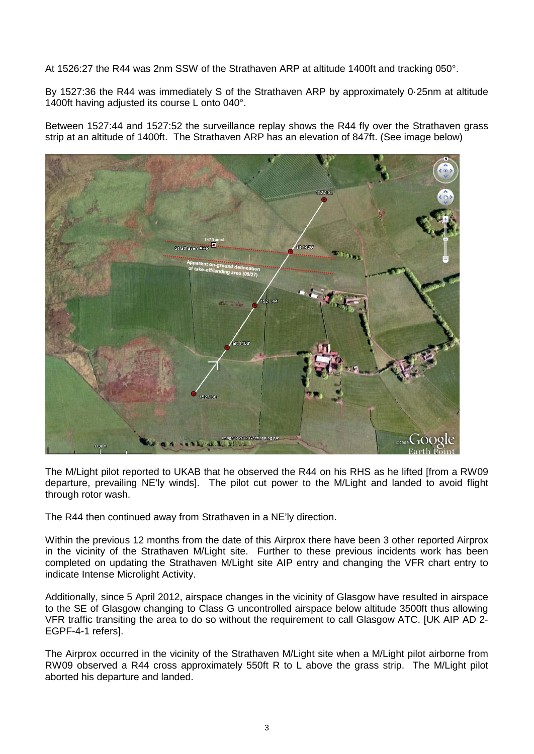At 1526:27 the R44 was 2nm SSW of the Strathaven ARP at altitude 1400ft and tracking 050°.

By 1527:36 the R44 was immediately S of the Strathaven ARP by approximately 0·25nm at altitude 1400ft having adjusted its course L onto 040°.

Between 1527:44 and 1527:52 the surveillance replay shows the R44 fly over the Strathaven grass strip at an altitude of 1400ft. The Strathaven ARP has an elevation of 847ft. (See image below)



The M/Light pilot reported to UKAB that he observed the R44 on his RHS as he lifted [from a RW09 departure, prevailing NE'ly winds]. The pilot cut power to the M/Light and landed to avoid flight through rotor wash.

The R44 then continued away from Strathaven in a NE'ly direction.

Within the previous 12 months from the date of this Airprox there have been 3 other reported Airprox in the vicinity of the Strathaven M/Light site. Further to these previous incidents work has been completed on updating the Strathaven M/Light site AIP entry and changing the VFR chart entry to indicate Intense Microlight Activity.

Additionally, since 5 April 2012, airspace changes in the vicinity of Glasgow have resulted in airspace to the SE of Glasgow changing to Class G uncontrolled airspace below altitude 3500ft thus allowing VFR traffic transiting the area to do so without the requirement to call Glasgow ATC. [UK AIP AD 2- EGPF-4-1 refers].

The Airprox occurred in the vicinity of the Strathaven M/Light site when a M/Light pilot airborne from RW09 observed a R44 cross approximately 550ft R to L above the grass strip. The M/Light pilot aborted his departure and landed.